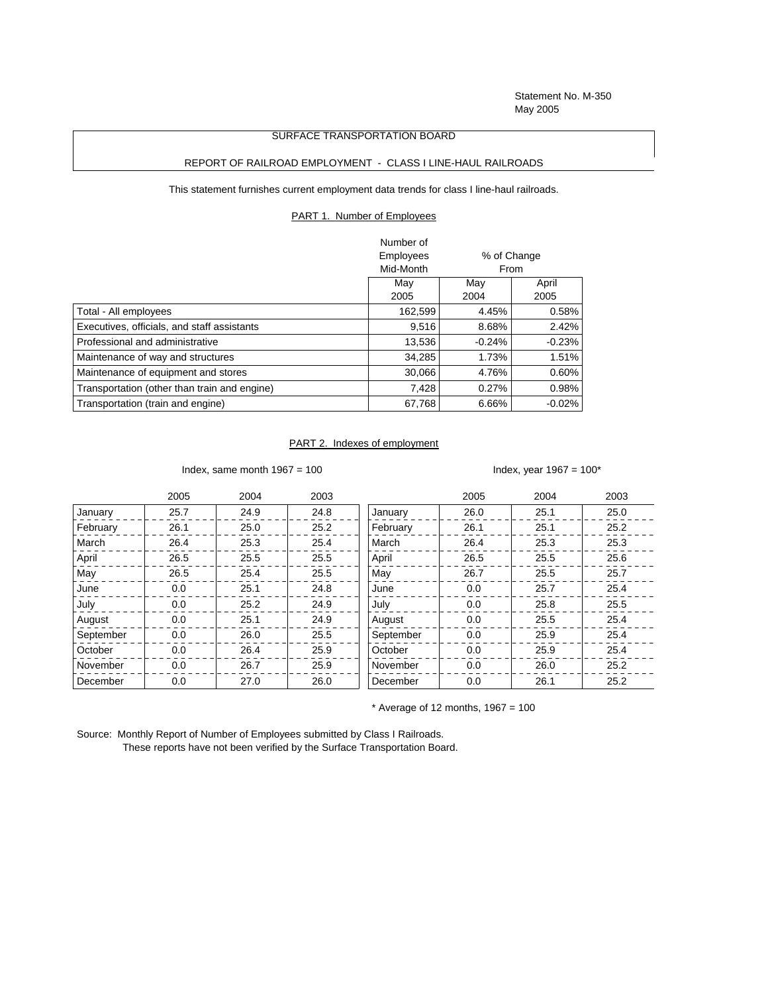Statement No. M-350 May 2005

## SURFACE TRANSPORTATION BOARD

## REPORT OF RAILROAD EMPLOYMENT - CLASS I LINE-HAUL RAILROADS

This statement furnishes current employment data trends for class I line-haul railroads.

PART 1. Number of Employees

|                                              | Number of        |              |             |  |
|----------------------------------------------|------------------|--------------|-------------|--|
|                                              | <b>Employees</b> |              | % of Change |  |
|                                              | Mid-Month        |              | From        |  |
|                                              | Mav              | Mav<br>April |             |  |
|                                              | 2005             | 2004         | 2005        |  |
| Total - All employees                        | 162,599          | 4.45%        | 0.58%       |  |
| Executives, officials, and staff assistants  | 9,516            | 8.68%        | 2.42%       |  |
| Professional and administrative              | 13,536           | $-0.24%$     | $-0.23%$    |  |
| Maintenance of way and structures            | 34,285           | 1.73%        | 1.51%       |  |
| Maintenance of equipment and stores          | 30.066           | 4.76%        | 0.60%       |  |
| Transportation (other than train and engine) | 7.428            | 0.27%        | 0.98%       |  |
| Transportation (train and engine)            | 67.768           | 6.66%        | $-0.02%$    |  |

## PART 2. Indexes of employment

Index, same month  $1967 = 100$  Index, year  $1967 = 100*$ 

|           | 2005    | 2004 | 2003 |           | 2005 | 2004 | 2003 |
|-----------|---------|------|------|-----------|------|------|------|
| January   | 25.7    | 24.9 | 24.8 | January   | 26.0 | 25.1 | 25.0 |
| February  | 26.1    | 25.0 | 25.2 | February  | 26.1 | 25.1 | 25.2 |
| March     | 26.4    | 25.3 | 25.4 | March     | 26.4 | 25.3 | 25.3 |
| April     | 26.5    | 25.5 | 25.5 | April     | 26.5 | 25.5 | 25.6 |
| May       | 26.5    | 25.4 | 25.5 | May       | 26.7 | 25.5 | 25.7 |
| June      | 0.0     | 25.1 | 24.8 | June      | 0.0  | 25.7 | 25.4 |
| July      | $0.0\,$ | 25.2 | 24.9 | July      | 0.0  | 25.8 | 25.5 |
| August    | 0.0     | 25.1 | 24.9 | August    | 0.0  | 25.5 | 25.4 |
| September | 0.0     | 26.0 | 25.5 | September | 0.0  | 25.9 | 25.4 |
| October   | 0.0     | 26.4 | 25.9 | October   | 0.0  | 25.9 | 25.4 |
| November  | 0.0     | 26.7 | 25.9 | November  | 0.0  | 26.0 | 25.2 |
| December  | 0.0     | 27.0 | 26.0 | December  | 0.0  | 26.1 | 25.2 |

 $*$  Average of 12 months, 1967 = 100

Source: Monthly Report of Number of Employees submitted by Class I Railroads. These reports have not been verified by the Surface Transportation Board.